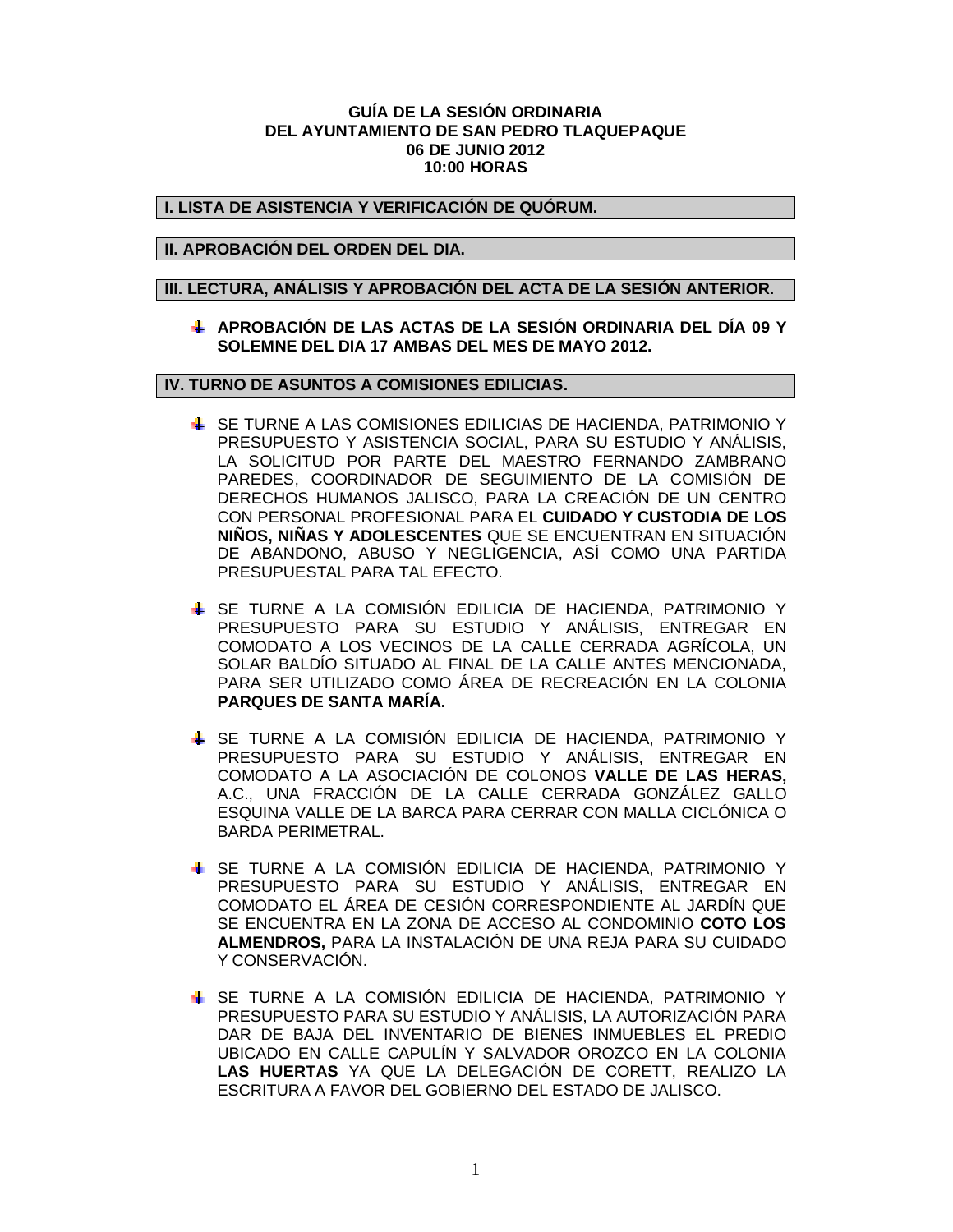### **GUÍA DE LA SESIÓN ORDINARIA DEL AYUNTAMIENTO DE SAN PEDRO TLAQUEPAQUE 06 DE JUNIO 2012 10:00 HORAS**

## **I. LISTA DE ASISTENCIA Y VERIFICACIÓN DE QUÓRUM.**

## **II. APROBACIÓN DEL ORDEN DEL DIA.**

### **III. LECTURA, ANÁLISIS Y APROBACIÓN DEL ACTA DE LA SESIÓN ANTERIOR.**

**APROBACIÓN DE LAS ACTAS DE LA SESIÓN ORDINARIA DEL DÍA 09 Y SOLEMNE DEL DIA 17 AMBAS DEL MES DE MAYO 2012.** 

### **IV. TURNO DE ASUNTOS A COMISIONES EDILICIAS.**

- SE TURNE A LAS COMISIONES EDILICIAS DE HACIENDA, PATRIMONIO Y PRESUPUESTO Y ASISTENCIA SOCIAL, PARA SU ESTUDIO Y ANÁLISIS, LA SOLICITUD POR PARTE DEL MAESTRO FERNANDO ZAMBRANO PAREDES, COORDINADOR DE SEGUIMIENTO DE LA COMISIÓN DE DERECHOS HUMANOS JALISCO, PARA LA CREACIÓN DE UN CENTRO CON PERSONAL PROFESIONAL PARA EL **CUIDADO Y CUSTODIA DE LOS NIÑOS, NIÑAS Y ADOLESCENTES** QUE SE ENCUENTRAN EN SITUACIÓN DE ABANDONO, ABUSO Y NEGLIGENCIA, ASÍ COMO UNA PARTIDA PRESUPUESTAL PARA TAL EFECTO.
- SE TURNE A LA COMISIÓN EDILICIA DE HACIENDA, PATRIMONIO Y PRESUPUESTO PARA SU ESTUDIO Y ANÁLISIS, ENTREGAR EN COMODATO A LOS VECINOS DE LA CALLE CERRADA AGRÍCOLA, UN SOLAR BALDÍO SITUADO AL FINAL DE LA CALLE ANTES MENCIONADA, PARA SER UTILIZADO COMO ÁREA DE RECREACIÓN EN LA COLONIA **PARQUES DE SANTA MARÍA.**
- SE TURNE A LA COMISIÓN EDILICIA DE HACIENDA, PATRIMONIO Y PRESUPUESTO PARA SU ESTUDIO Y ANÁLISIS, ENTREGAR EN COMODATO A LA ASOCIACIÓN DE COLONOS **VALLE DE LAS HERAS,** A.C., UNA FRACCIÓN DE LA CALLE CERRADA GONZÁLEZ GALLO ESQUINA VALLE DE LA BARCA PARA CERRAR CON MALLA CICLÓNICA O BARDA PERIMETRAL.
- SE TURNE A LA COMISIÓN EDILICIA DE HACIENDA, PATRIMONIO Y PRESUPUESTO PARA SU ESTUDIO Y ANÁLISIS, ENTREGAR EN COMODATO EL ÁREA DE CESIÓN CORRESPONDIENTE AL JARDÍN QUE SE ENCUENTRA EN LA ZONA DE ACCESO AL CONDOMINIO **COTO LOS ALMENDROS,** PARA LA INSTALACIÓN DE UNA REJA PARA SU CUIDADO Y CONSERVACIÓN.
- SE TURNE A LA COMISIÓN EDILICIA DE HACIENDA, PATRIMONIO Y PRESUPUESTO PARA SU ESTUDIO Y ANÁLISIS, LA AUTORIZACIÓN PARA DAR DE BAJA DEL INVENTARIO DE BIENES INMUEBLES EL PREDIO UBICADO EN CALLE CAPULÍN Y SALVADOR OROZCO EN LA COLONIA **LAS HUERTAS** YA QUE LA DELEGACIÓN DE CORETT, REALIZO LA ESCRITURA A FAVOR DEL GOBIERNO DEL ESTADO DE JALISCO.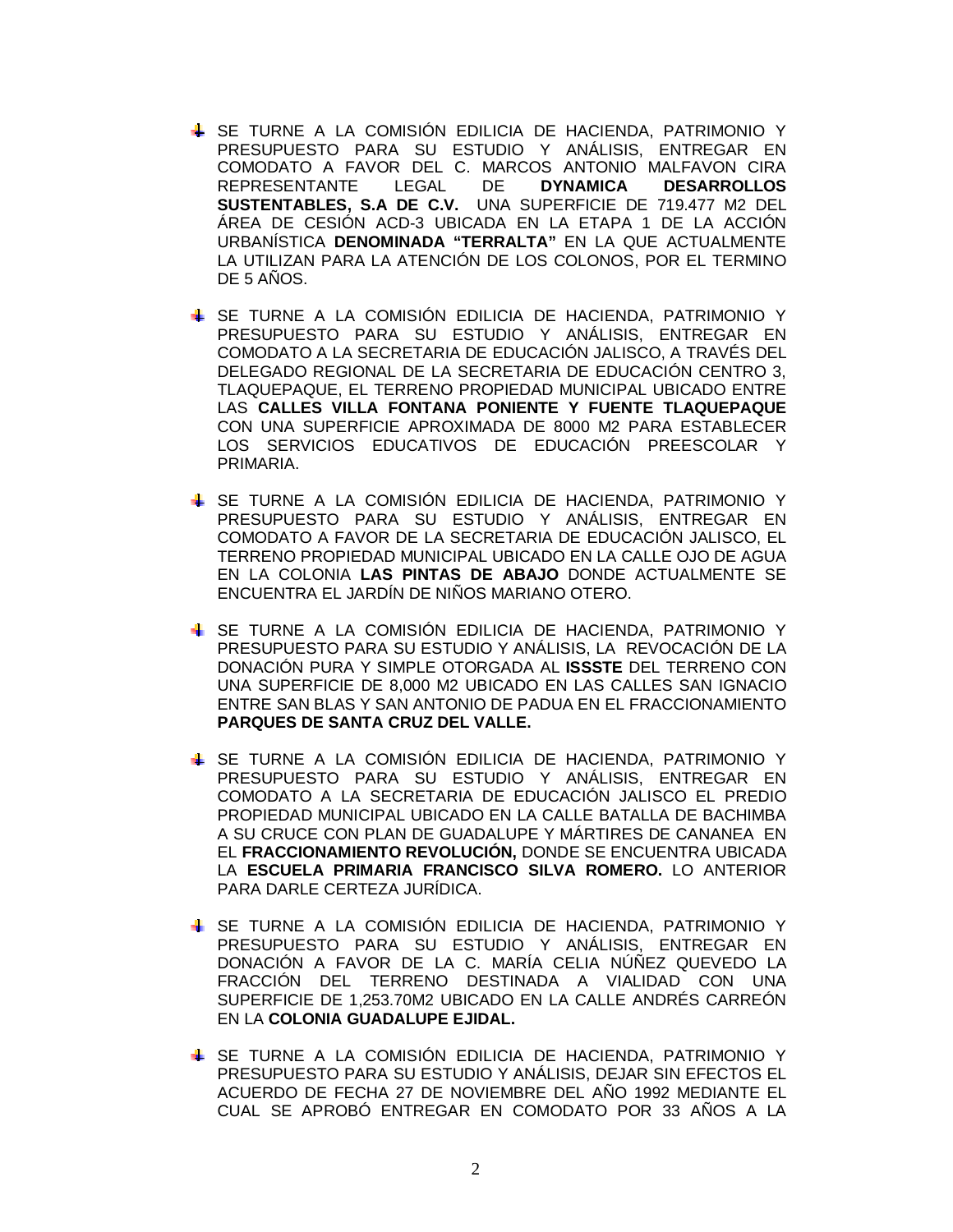- SE TURNE A LA COMISIÓN EDILICIA DE HACIENDA, PATRIMONIO Y PRESUPUESTO PARA SU ESTUDIO Y ANÁLISIS, ENTREGAR EN COMODATO A FAVOR DEL C. MARCOS ANTONIO MALFAVON CIRA REPRESENTANTE LEGAL DE **DYNAMICA DESARROLLOS SUSTENTABLES, S.A DE C.V.** UNA SUPERFICIE DE 719.477 M2 DEL ÁREA DE CESIÓN ACD-3 UBICADA EN LA ETAPA 1 DE LA ACCIÓN URBANÍSTICA **DENOMINADA "TERRALTA"** EN LA QUE ACTUALMENTE LA UTILIZAN PARA LA ATENCIÓN DE LOS COLONOS, POR EL TERMINO DE 5 AÑOS.
- SE TURNE A LA COMISIÓN EDILICIA DE HACIENDA, PATRIMONIO Y PRESUPUESTO PARA SU ESTUDIO Y ANÁLISIS, ENTREGAR EN COMODATO A LA SECRETARIA DE EDUCACIÓN JALISCO, A TRAVÉS DEL DELEGADO REGIONAL DE LA SECRETARIA DE EDUCACIÓN CENTRO 3, TLAQUEPAQUE, EL TERRENO PROPIEDAD MUNICIPAL UBICADO ENTRE LAS **CALLES VILLA FONTANA PONIENTE Y FUENTE TLAQUEPAQUE** CON UNA SUPERFICIE APROXIMADA DE 8000 M2 PARA ESTABLECER LOS SERVICIOS EDUCATIVOS DE EDUCACIÓN PREESCOLAR Y PRIMARIA.
- SE TURNE A LA COMISIÓN EDILICIA DE HACIENDA, PATRIMONIO Y PRESUPUESTO PARA SU ESTUDIO Y ANÁLISIS, ENTREGAR EN COMODATO A FAVOR DE LA SECRETARIA DE EDUCACIÓN JALISCO, EL TERRENO PROPIEDAD MUNICIPAL UBICADO EN LA CALLE OJO DE AGUA EN LA COLONIA **LAS PINTAS DE ABAJO** DONDE ACTUALMENTE SE ENCUENTRA EL JARDÍN DE NIÑOS MARIANO OTERO.
- SE TURNE A LA COMISIÓN EDILICIA DE HACIENDA, PATRIMONIO Y PRESUPUESTO PARA SU ESTUDIO Y ANÁLISIS, LA REVOCACIÓN DE LA DONACIÓN PURA Y SIMPLE OTORGADA AL **ISSSTE** DEL TERRENO CON UNA SUPERFICIE DE 8,000 M2 UBICADO EN LAS CALLES SAN IGNACIO ENTRE SAN BLAS Y SAN ANTONIO DE PADUA EN EL FRACCIONAMIENTO **PARQUES DE SANTA CRUZ DEL VALLE.**
- SE TURNE A LA COMISIÓN EDILICIA DE HACIENDA, PATRIMONIO Y PRESUPUESTO PARA SU ESTUDIO Y ANÁLISIS, ENTREGAR EN COMODATO A LA SECRETARIA DE EDUCACIÓN JALISCO EL PREDIO PROPIEDAD MUNICIPAL UBICADO EN LA CALLE BATALLA DE BACHIMBA A SU CRUCE CON PLAN DE GUADALUPE Y MÁRTIRES DE CANANEA EN EL **FRACCIONAMIENTO REVOLUCIÓN,** DONDE SE ENCUENTRA UBICADA LA **ESCUELA PRIMARIA FRANCISCO SILVA ROMERO.** LO ANTERIOR PARA DARLE CERTEZA JURÍDICA.
- SE TURNE A LA COMISIÓN EDILICIA DE HACIENDA, PATRIMONIO Y PRESUPUESTO PARA SU ESTUDIO Y ANÁLISIS, ENTREGAR EN DONACIÓN A FAVOR DE LA C. MARÍA CELIA NÚÑEZ QUEVEDO LA FRACCIÓN DEL TERRENO DESTINADA A VIALIDAD CON UNA SUPERFICIE DE 1,253.70M2 UBICADO EN LA CALLE ANDRÉS CARREÓN EN LA **COLONIA GUADALUPE EJIDAL.**
- SE TURNE A LA COMISIÓN EDILICIA DE HACIENDA, PATRIMONIO Y PRESUPUESTO PARA SU ESTUDIO Y ANÁLISIS, DEJAR SIN EFECTOS EL ACUERDO DE FECHA 27 DE NOVIEMBRE DEL AÑO 1992 MEDIANTE EL CUAL SE APROBÓ ENTREGAR EN COMODATO POR 33 AÑOS A LA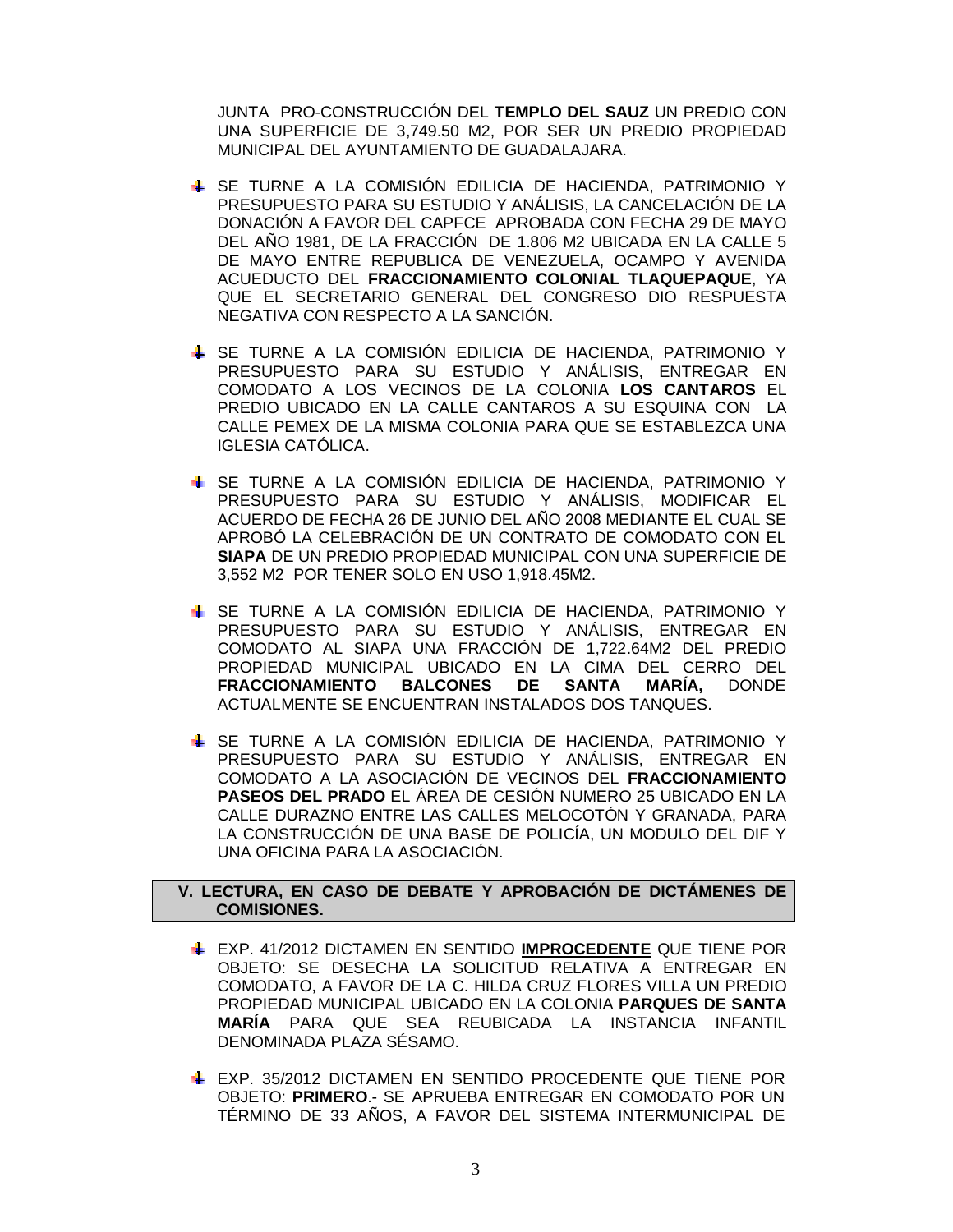JUNTA PRO-CONSTRUCCIÓN DEL **TEMPLO DEL SAUZ** UN PREDIO CON UNA SUPERFICIE DE 3,749.50 M2, POR SER UN PREDIO PROPIEDAD MUNICIPAL DEL AYUNTAMIENTO DE GUADALAJARA.

- SE TURNE A LA COMISIÓN EDILICIA DE HACIENDA, PATRIMONIO Y PRESUPUESTO PARA SU ESTUDIO Y ANÁLISIS, LA CANCELACIÓN DE LA DONACIÓN A FAVOR DEL CAPFCE APROBADA CON FECHA 29 DE MAYO DEL AÑO 1981, DE LA FRACCIÓN DE 1.806 M2 UBICADA EN LA CALLE 5 DE MAYO ENTRE REPUBLICA DE VENEZUELA, OCAMPO Y AVENIDA ACUEDUCTO DEL **FRACCIONAMIENTO COLONIAL TLAQUEPAQUE**, YA QUE EL SECRETARIO GENERAL DEL CONGRESO DIO RESPUESTA NEGATIVA CON RESPECTO A LA SANCIÓN.
- SE TURNE A LA COMISIÓN EDILICIA DE HACIENDA, PATRIMONIO Y PRESUPUESTO PARA SU ESTUDIO Y ANÁLISIS, ENTREGAR EN COMODATO A LOS VECINOS DE LA COLONIA **LOS CANTAROS** EL PREDIO UBICADO EN LA CALLE CANTAROS A SU ESQUINA CON LA CALLE PEMEX DE LA MISMA COLONIA PARA QUE SE ESTABLEZCA UNA IGLESIA CATÓLICA.
- SE TURNE A LA COMISIÓN EDILICIA DE HACIENDA, PATRIMONIO Y PRESUPUESTO PARA SU ESTUDIO Y ANÁLISIS, MODIFICAR EL ACUERDO DE FECHA 26 DE JUNIO DEL AÑO 2008 MEDIANTE EL CUAL SE APROBÓ LA CELEBRACIÓN DE UN CONTRATO DE COMODATO CON EL **SIAPA** DE UN PREDIO PROPIEDAD MUNICIPAL CON UNA SUPERFICIE DE 3,552 M2 POR TENER SOLO EN USO 1,918.45M2.
- SE TURNE A LA COMISIÓN EDILICIA DE HACIENDA, PATRIMONIO Y PRESUPUESTO PARA SU ESTUDIO Y ANÁLISIS, ENTREGAR EN COMODATO AL SIAPA UNA FRACCIÓN DE 1,722.64M2 DEL PREDIO PROPIEDAD MUNICIPAL UBICADO EN LA CIMA DEL CERRO DEL **FRACCIONAMIENTO BALCONES DE SANTA MARÍA,** DONDE ACTUALMENTE SE ENCUENTRAN INSTALADOS DOS TANQUES.
- SE TURNE A LA COMISIÓN EDILICIA DE HACIENDA, PATRIMONIO Y PRESUPUESTO PARA SU ESTUDIO Y ANÁLISIS, ENTREGAR EN COMODATO A LA ASOCIACIÓN DE VECINOS DEL **FRACCIONAMIENTO PASEOS DEL PRADO** EL ÁREA DE CESIÓN NUMERO 25 UBICADO EN LA CALLE DURAZNO ENTRE LAS CALLES MELOCOTÓN Y GRANADA, PARA LA CONSTRUCCIÓN DE UNA BASE DE POLICÍA, UN MODULO DEL DIF Y UNA OFICINA PARA LA ASOCIACIÓN.

# **V. LECTURA, EN CASO DE DEBATE Y APROBACIÓN DE DICTÁMENES DE COMISIONES.**

- EXP. 41/2012 DICTAMEN EN SENTIDO **IMPROCEDENTE** QUE TIENE POR OBJETO: SE DESECHA LA SOLICITUD RELATIVA A ENTREGAR EN COMODATO, A FAVOR DE LA C. HILDA CRUZ FLORES VILLA UN PREDIO PROPIEDAD MUNICIPAL UBICADO EN LA COLONIA **PARQUES DE SANTA MARÍA** PARA QUE SEA REUBICADA LA INSTANCIA INFANTIL DENOMINADA PLAZA SÉSAMO.
- EXP. 35/2012 DICTAMEN EN SENTIDO PROCEDENTE QUE TIENE POR OBJETO: **PRIMERO**.- SE APRUEBA ENTREGAR EN COMODATO POR UN TÉRMINO DE 33 AÑOS, A FAVOR DEL SISTEMA INTERMUNICIPAL DE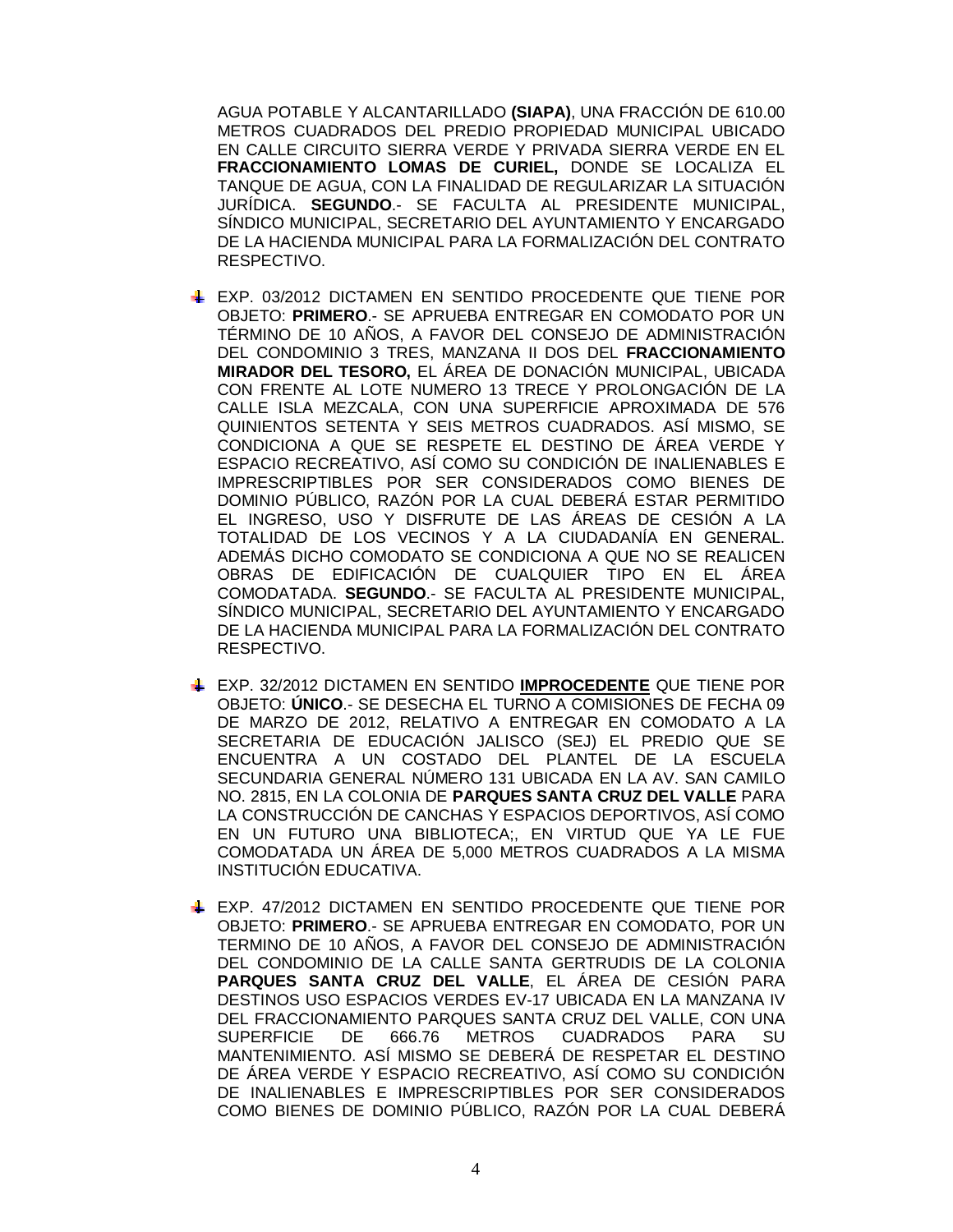AGUA POTABLE Y ALCANTARILLADO **(SIAPA)**, UNA FRACCIÓN DE 610.00 METROS CUADRADOS DEL PREDIO PROPIEDAD MUNICIPAL UBICADO EN CALLE CIRCUITO SIERRA VERDE Y PRIVADA SIERRA VERDE EN EL **FRACCIONAMIENTO LOMAS DE CURIEL,** DONDE SE LOCALIZA EL TANQUE DE AGUA, CON LA FINALIDAD DE REGULARIZAR LA SITUACIÓN JURÍDICA. **SEGUNDO**.- SE FACULTA AL PRESIDENTE MUNICIPAL, SÍNDICO MUNICIPAL, SECRETARIO DEL AYUNTAMIENTO Y ENCARGADO DE LA HACIENDA MUNICIPAL PARA LA FORMALIZACIÓN DEL CONTRATO RESPECTIVO.

- EXP. 03/2012 DICTAMEN EN SENTIDO PROCEDENTE QUE TIENE POR OBJETO: **PRIMERO**.- SE APRUEBA ENTREGAR EN COMODATO POR UN TÉRMINO DE 10 AÑOS, A FAVOR DEL CONSEJO DE ADMINISTRACIÓN DEL CONDOMINIO 3 TRES, MANZANA II DOS DEL **FRACCIONAMIENTO MIRADOR DEL TESORO,** EL ÁREA DE DONACIÓN MUNICIPAL, UBICADA CON FRENTE AL LOTE NUMERO 13 TRECE Y PROLONGACIÓN DE LA CALLE ISLA MEZCALA, CON UNA SUPERFICIE APROXIMADA DE 576 QUINIENTOS SETENTA Y SEIS METROS CUADRADOS. ASÍ MISMO, SE CONDICIONA A QUE SE RESPETE EL DESTINO DE ÁREA VERDE Y ESPACIO RECREATIVO, ASÍ COMO SU CONDICIÓN DE INALIENABLES E IMPRESCRIPTIBLES POR SER CONSIDERADOS COMO BIENES DE DOMINIO PÚBLICO, RAZÓN POR LA CUAL DEBERÁ ESTAR PERMITIDO EL INGRESO, USO Y DISFRUTE DE LAS ÁREAS DE CESIÓN A LA TOTALIDAD DE LOS VECINOS Y A LA CIUDADANÍA EN GENERAL. ADEMÁS DICHO COMODATO SE CONDICIONA A QUE NO SE REALICEN OBRAS DE EDIFICACIÓN DE CUALQUIER TIPO EN EL ÁREA COMODATADA. **SEGUNDO**.- SE FACULTA AL PRESIDENTE MUNICIPAL, SÍNDICO MUNICIPAL, SECRETARIO DEL AYUNTAMIENTO Y ENCARGADO DE LA HACIENDA MUNICIPAL PARA LA FORMALIZACIÓN DEL CONTRATO RESPECTIVO.
- EXP. 32/2012 DICTAMEN EN SENTIDO **IMPROCEDENTE** QUE TIENE POR OBJETO: **ÚNICO**.- SE DESECHA EL TURNO A COMISIONES DE FECHA 09 DE MARZO DE 2012, RELATIVO A ENTREGAR EN COMODATO A LA SECRETARIA DE EDUCACIÓN JALISCO (SEJ) EL PREDIO QUE SE ENCUENTRA A UN COSTADO DEL PLANTEL DE LA ESCUELA SECUNDARIA GENERAL NÚMERO 131 UBICADA EN LA AV. SAN CAMILO NO. 2815, EN LA COLONIA DE **PARQUES SANTA CRUZ DEL VALLE** PARA LA CONSTRUCCIÓN DE CANCHAS Y ESPACIOS DEPORTIVOS, ASÍ COMO EN UN FUTURO UNA BIBLIOTECA;, EN VIRTUD QUE YA LE FUE COMODATADA UN ÁREA DE 5,000 METROS CUADRADOS A LA MISMA INSTITUCIÓN EDUCATIVA.
- EXP. 47/2012 DICTAMEN EN SENTIDO PROCEDENTE QUE TIENE POR OBJETO: **PRIMERO**.- SE APRUEBA ENTREGAR EN COMODATO, POR UN TERMINO DE 10 AÑOS, A FAVOR DEL CONSEJO DE ADMINISTRACIÓN DEL CONDOMINIO DE LA CALLE SANTA GERTRUDIS DE LA COLONIA **PARQUES SANTA CRUZ DEL VALLE**, EL ÁREA DE CESIÓN PARA DESTINOS USO ESPACIOS VERDES EV-17 UBICADA EN LA MANZANA IV DEL FRACCIONAMIENTO PARQUES SANTA CRUZ DEL VALLE, CON UNA SUPERFICIE DE 666.76 METROS CUADRADOS PARA SU MANTENIMIENTO. ASÍ MISMO SE DEBERÁ DE RESPETAR EL DESTINO DE ÁREA VERDE Y ESPACIO RECREATIVO, ASÍ COMO SU CONDICIÓN DE INALIENABLES E IMPRESCRIPTIBLES POR SER CONSIDERADOS COMO BIENES DE DOMINIO PÚBLICO, RAZÓN POR LA CUAL DEBERÁ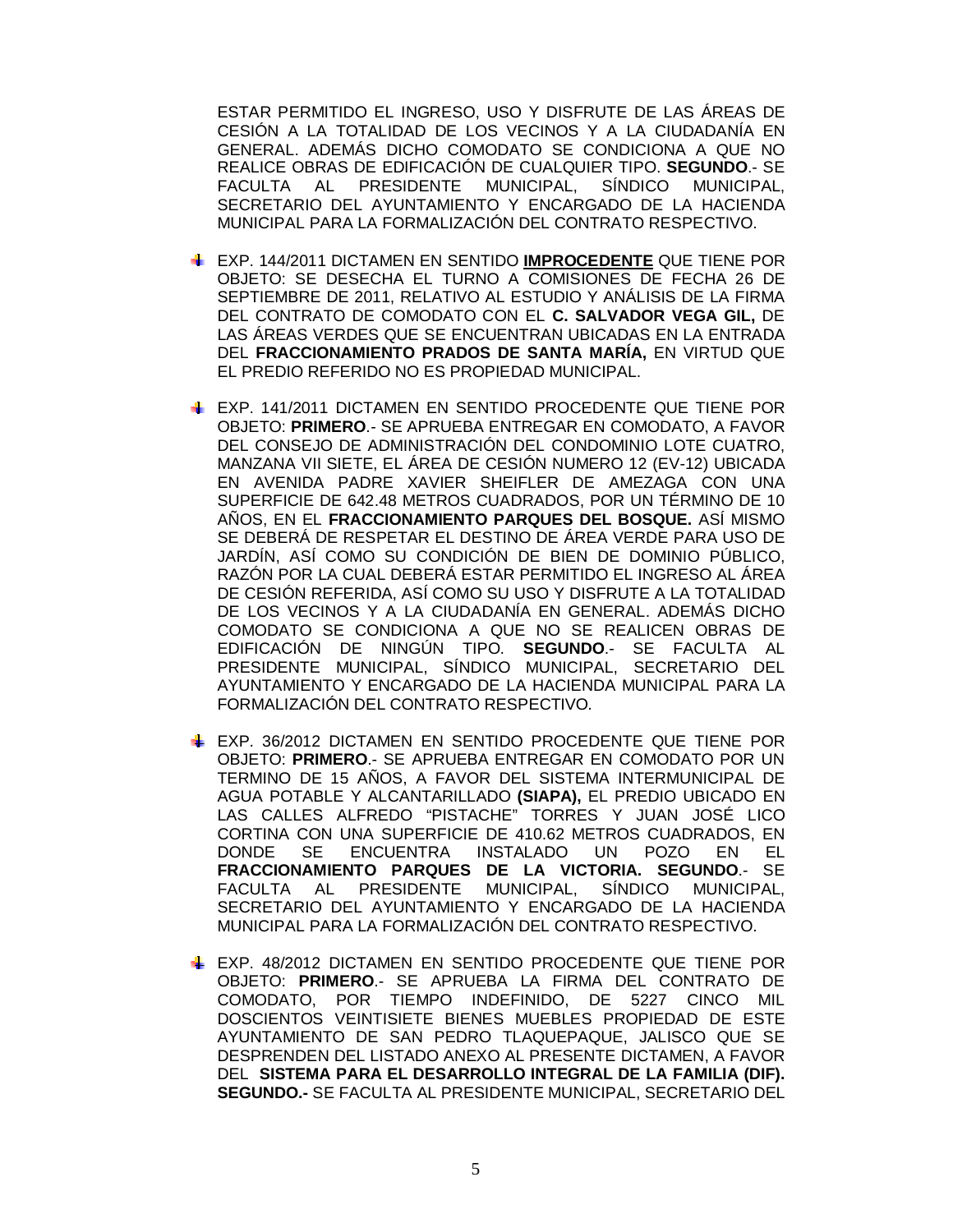ESTAR PERMITIDO EL INGRESO, USO Y DISFRUTE DE LAS ÁREAS DE CESIÓN A LA TOTALIDAD DE LOS VECINOS Y A LA CIUDADANÍA EN GENERAL. ADEMÁS DICHO COMODATO SE CONDICIONA A QUE NO REALICE OBRAS DE EDIFICACIÓN DE CUALQUIER TIPO. **SEGUNDO**.- SE FACULTA AL PRESIDENTE MUNICIPAL, SÍNDICO MUNICIPAL, SECRETARIO DEL AYUNTAMIENTO Y ENCARGADO DE LA HACIENDA MUNICIPAL PARA LA FORMALIZACIÓN DEL CONTRATO RESPECTIVO.

- EXP. 144/2011 DICTAMEN EN SENTIDO **IMPROCEDENTE** QUE TIENE POR OBJETO: SE DESECHA EL TURNO A COMISIONES DE FECHA 26 DE SEPTIEMBRE DE 2011, RELATIVO AL ESTUDIO Y ANÁLISIS DE LA FIRMA DEL CONTRATO DE COMODATO CON EL **C. SALVADOR VEGA GIL,** DE LAS ÁREAS VERDES QUE SE ENCUENTRAN UBICADAS EN LA ENTRADA DEL **FRACCIONAMIENTO PRADOS DE SANTA MARÍA,** EN VIRTUD QUE EL PREDIO REFERIDO NO ES PROPIEDAD MUNICIPAL.
- EXP. 141/2011 DICTAMEN EN SENTIDO PROCEDENTE QUE TIENE POR OBJETO: **PRIMERO**.- SE APRUEBA ENTREGAR EN COMODATO, A FAVOR DEL CONSEJO DE ADMINISTRACIÓN DEL CONDOMINIO LOTE CUATRO, MANZANA VII SIETE, EL ÁREA DE CESIÓN NUMERO 12 (EV-12) UBICADA EN AVENIDA PADRE XAVIER SHEIFLER DE AMEZAGA CON UNA SUPERFICIE DE 642.48 METROS CUADRADOS, POR UN TÉRMINO DE 10 AÑOS, EN EL **FRACCIONAMIENTO PARQUES DEL BOSQUE.** ASÍ MISMO SE DEBERÁ DE RESPETAR EL DESTINO DE ÁREA VERDE PARA USO DE JARDÍN, ASÍ COMO SU CONDICIÓN DE BIEN DE DOMINIO PÚBLICO, RAZÓN POR LA CUAL DEBERÁ ESTAR PERMITIDO EL INGRESO AL ÁREA DE CESIÓN REFERIDA, ASÍ COMO SU USO Y DISFRUTE A LA TOTALIDAD DE LOS VECINOS Y A LA CIUDADANÍA EN GENERAL. ADEMÁS DICHO COMODATO SE CONDICIONA A QUE NO SE REALICEN OBRAS DE EDIFICACIÓN DE NINGÚN TIPO. **SEGUNDO**.- SE FACULTA AL PRESIDENTE MUNICIPAL, SÍNDICO MUNICIPAL, SECRETARIO DEL AYUNTAMIENTO Y ENCARGADO DE LA HACIENDA MUNICIPAL PARA LA FORMALIZACIÓN DEL CONTRATO RESPECTIVO.
- EXP. 36/2012 DICTAMEN EN SENTIDO PROCEDENTE QUE TIENE POR OBJETO: **PRIMERO**.- SE APRUEBA ENTREGAR EN COMODATO POR UN TERMINO DE 15 AÑOS, A FAVOR DEL SISTEMA INTERMUNICIPAL DE AGUA POTABLE Y ALCANTARILLADO **(SIAPA),** EL PREDIO UBICADO EN LAS CALLES ALFREDO "PISTACHE" TORRES Y JUAN JOSÉ LICO CORTINA CON UNA SUPERFICIE DE 410.62 METROS CUADRADOS, EN DONDE SE ENCUENTRA INSTALADO UN POZO EN EL **FRACCIONAMIENTO PARQUES DE LA VICTORIA. SEGUNDO**.- SE FACULTA AL PRESIDENTE SECRETARIO DEL AYUNTAMIENTO Y ENCARGADO DE LA HACIENDA MUNICIPAL PARA LA FORMALIZACIÓN DEL CONTRATO RESPECTIVO.
- EXP. 48/2012 DICTAMEN EN SENTIDO PROCEDENTE QUE TIENE POR OBJETO: **PRIMERO**.- SE APRUEBA LA FIRMA DEL CONTRATO DE COMODATO, POR TIEMPO INDEFINIDO, DE 5227 CINCO MIL DOSCIENTOS VEINTISIETE BIENES MUEBLES PROPIEDAD DE ESTE AYUNTAMIENTO DE SAN PEDRO TLAQUEPAQUE, JALISCO QUE SE DESPRENDEN DEL LISTADO ANEXO AL PRESENTE DICTAMEN, A FAVOR DEL **SISTEMA PARA EL DESARROLLO INTEGRAL DE LA FAMILIA (DIF). SEGUNDO.-** SE FACULTA AL PRESIDENTE MUNICIPAL, SECRETARIO DEL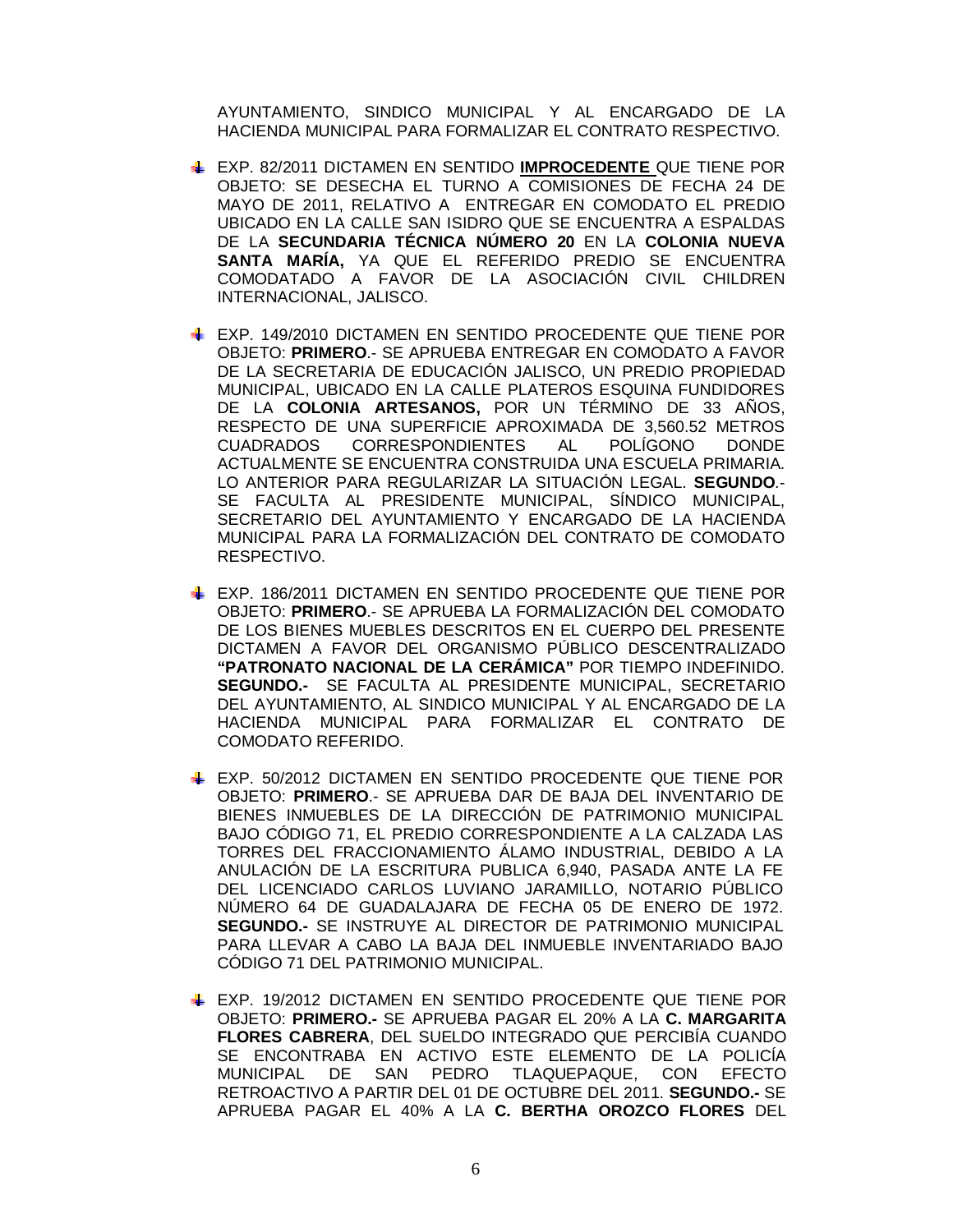AYUNTAMIENTO, SINDICO MUNICIPAL Y AL ENCARGADO DE LA HACIENDA MUNICIPAL PARA FORMALIZAR EL CONTRATO RESPECTIVO.

- EXP. 82/2011 DICTAMEN EN SENTIDO **IMPROCEDENTE** QUE TIENE POR OBJETO: SE DESECHA EL TURNO A COMISIONES DE FECHA 24 DE MAYO DE 2011, RELATIVO A ENTREGAR EN COMODATO EL PREDIO UBICADO EN LA CALLE SAN ISIDRO QUE SE ENCUENTRA A ESPALDAS DE LA **SECUNDARIA TÉCNICA NÚMERO 20** EN LA **COLONIA NUEVA SANTA MARÍA,** YA QUE EL REFERIDO PREDIO SE ENCUENTRA COMODATADO A FAVOR DE LA ASOCIACIÓN CIVIL CHILDREN INTERNACIONAL, JALISCO.
- EXP. 149/2010 DICTAMEN EN SENTIDO PROCEDENTE QUE TIENE POR OBJETO: **PRIMERO**.- SE APRUEBA ENTREGAR EN COMODATO A FAVOR DE LA SECRETARIA DE EDUCACIÓN JALISCO, UN PREDIO PROPIEDAD MUNICIPAL, UBICADO EN LA CALLE PLATEROS ESQUINA FUNDIDORES DE LA **COLONIA ARTESANOS,** POR UN TÉRMINO DE 33 AÑOS, RESPECTO DE UNA SUPERFICIE APROXIMADA DE 3,560.52 METROS CUADRADOS CORRESPONDIENTES AL POLÍGONO DONDE ACTUALMENTE SE ENCUENTRA CONSTRUIDA UNA ESCUELA PRIMARIA. LO ANTERIOR PARA REGULARIZAR LA SITUACIÓN LEGAL. **SEGUNDO**.- SE FACULTA AL PRESIDENTE MUNICIPAL, SÍNDICO MUNICIPAL, SECRETARIO DEL AYUNTAMIENTO Y ENCARGADO DE LA HACIENDA MUNICIPAL PARA LA FORMALIZACIÓN DEL CONTRATO DE COMODATO RESPECTIVO.
- EXP. 186/2011 DICTAMEN EN SENTIDO PROCEDENTE QUE TIENE POR OBJETO: **PRIMERO**.- SE APRUEBA LA FORMALIZACIÓN DEL COMODATO DE LOS BIENES MUEBLES DESCRITOS EN EL CUERPO DEL PRESENTE DICTAMEN A FAVOR DEL ORGANISMO PÚBLICO DESCENTRALIZADO **"PATRONATO NACIONAL DE LA CERÁMICA"** POR TIEMPO INDEFINIDO. **SEGUNDO.-** SE FACULTA AL PRESIDENTE MUNICIPAL, SECRETARIO DEL AYUNTAMIENTO, AL SINDICO MUNICIPAL Y AL ENCARGADO DE LA HACIENDA MUNICIPAL PARA FORMALIZAR EL CONTRATO DE COMODATO REFERIDO.
- EXP. 50/2012 DICTAMEN EN SENTIDO PROCEDENTE QUE TIENE POR OBJETO: **PRIMERO**.- SE APRUEBA DAR DE BAJA DEL INVENTARIO DE BIENES INMUEBLES DE LA DIRECCIÓN DE PATRIMONIO MUNICIPAL BAJO CÓDIGO 71, EL PREDIO CORRESPONDIENTE A LA CALZADA LAS TORRES DEL FRACCIONAMIENTO ÁLAMO INDUSTRIAL, DEBIDO A LA ANULACIÓN DE LA ESCRITURA PUBLICA 6,940, PASADA ANTE LA FE DEL LICENCIADO CARLOS LUVIANO JARAMILLO, NOTARIO PÚBLICO NÚMERO 64 DE GUADALAJARA DE FECHA 05 DE ENERO DE 1972. **SEGUNDO.-** SE INSTRUYE AL DIRECTOR DE PATRIMONIO MUNICIPAL PARA LLEVAR A CABO LA BAJA DEL INMUEBLE INVENTARIADO BAJO CÓDIGO 71 DEL PATRIMONIO MUNICIPAL.
- EXP. 19/2012 DICTAMEN EN SENTIDO PROCEDENTE QUE TIENE POR OBJETO: **PRIMERO.-** SE APRUEBA PAGAR EL 20% A LA **C. MARGARITA FLORES CABRERA**, DEL SUELDO INTEGRADO QUE PERCIBÍA CUANDO SE ENCONTRABA EN ACTIVO ESTE ELEMENTO DE LA POLICÍA MUNICIPAL DE SAN PEDRO TLAQUEPAQUE, CON EFECTO RETROACTIVO A PARTIR DEL 01 DE OCTUBRE DEL 2011. **SEGUNDO.-** SE APRUEBA PAGAR EL 40% A LA **C. BERTHA OROZCO FLORES** DEL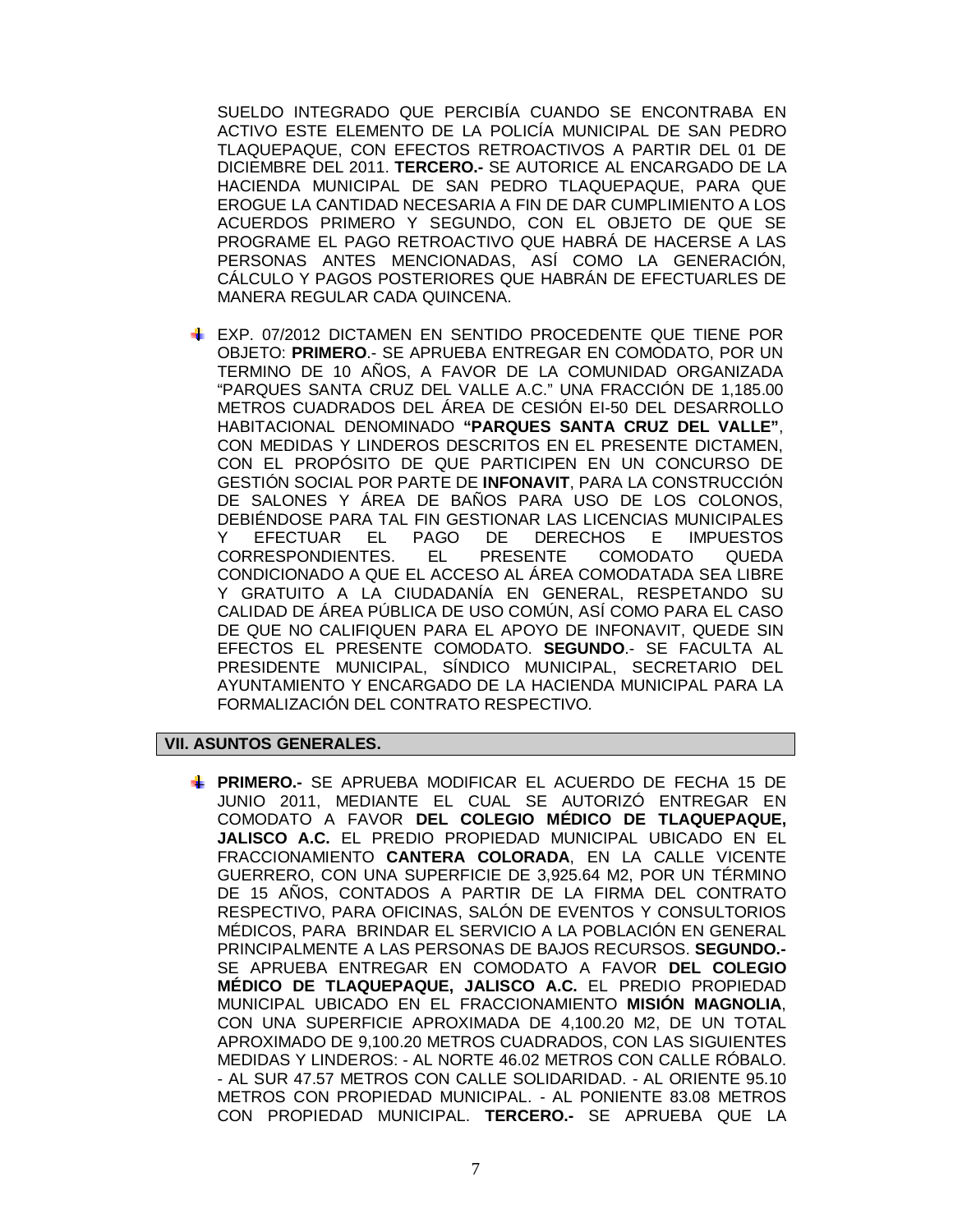SUELDO INTEGRADO QUE PERCIBÍA CUANDO SE ENCONTRABA EN ACTIVO ESTE ELEMENTO DE LA POLICÍA MUNICIPAL DE SAN PEDRO TLAQUEPAQUE, CON EFECTOS RETROACTIVOS A PARTIR DEL 01 DE DICIEMBRE DEL 2011. **TERCERO.-** SE AUTORICE AL ENCARGADO DE LA HACIENDA MUNICIPAL DE SAN PEDRO TLAQUEPAQUE, PARA QUE EROGUE LA CANTIDAD NECESARIA A FIN DE DAR CUMPLIMIENTO A LOS ACUERDOS PRIMERO Y SEGUNDO, CON EL OBJETO DE QUE SE PROGRAME EL PAGO RETROACTIVO QUE HABRÁ DE HACERSE A LAS PERSONAS ANTES MENCIONADAS, ASÍ COMO LA GENERACIÓN, CÁLCULO Y PAGOS POSTERIORES QUE HABRÁN DE EFECTUARLES DE MANERA REGULAR CADA QUINCENA.

EXP. 07/2012 DICTAMEN EN SENTIDO PROCEDENTE QUE TIENE POR OBJETO: **PRIMERO**.- SE APRUEBA ENTREGAR EN COMODATO, POR UN TERMINO DE 10 AÑOS, A FAVOR DE LA COMUNIDAD ORGANIZADA "PARQUES SANTA CRUZ DEL VALLE A.C." UNA FRACCIÓN DE 1,185.00 METROS CUADRADOS DEL ÁREA DE CESIÓN EI-50 DEL DESARROLLO HABITACIONAL DENOMINADO **"PARQUES SANTA CRUZ DEL VALLE"**, CON MEDIDAS Y LINDEROS DESCRITOS EN EL PRESENTE DICTAMEN, CON EL PROPÓSITO DE QUE PARTICIPEN EN UN CONCURSO DE GESTIÓN SOCIAL POR PARTE DE **INFONAVIT**, PARA LA CONSTRUCCIÓN DE SALONES Y ÁREA DE BAÑOS PARA USO DE LOS COLONOS, DEBIÉNDOSE PARA TAL FIN GESTIONAR LAS LICENCIAS MUNICIPALES Y EFECTUAR EL PAGO DE DERECHOS E IMPUESTOS CORRESPONDIENTES. EL PRESENTE COMODATO QUEDA CONDICIONADO A QUE EL ACCESO AL ÁREA COMODATADA SEA LIBRE Y GRATUITO A LA CIUDADANÍA EN GENERAL, RESPETANDO SU CALIDAD DE ÁREA PÚBLICA DE USO COMÚN, ASÍ COMO PARA EL CASO DE QUE NO CALIFIQUEN PARA EL APOYO DE INFONAVIT, QUEDE SIN EFECTOS EL PRESENTE COMODATO. **SEGUNDO**.- SE FACULTA AL PRESIDENTE MUNICIPAL, SÍNDICO MUNICIPAL, SECRETARIO DEL AYUNTAMIENTO Y ENCARGADO DE LA HACIENDA MUNICIPAL PARA LA FORMALIZACIÓN DEL CONTRATO RESPECTIVO.

### **VII. ASUNTOS GENERALES.**

**PRIMERO.-** SE APRUEBA MODIFICAR EL ACUERDO DE FECHA 15 DE JUNIO 2011, MEDIANTE EL CUAL SE AUTORIZÓ ENTREGAR EN COMODATO A FAVOR **DEL COLEGIO MÉDICO DE TLAQUEPAQUE, JALISCO A.C.** EL PREDIO PROPIEDAD MUNICIPAL UBICADO EN EL FRACCIONAMIENTO **CANTERA COLORADA**, EN LA CALLE VICENTE GUERRERO, CON UNA SUPERFICIE DE 3,925.64 M2, POR UN TÉRMINO DE 15 AÑOS, CONTADOS A PARTIR DE LA FIRMA DEL CONTRATO RESPECTIVO, PARA OFICINAS, SALÓN DE EVENTOS Y CONSULTORIOS MÉDICOS, PARA BRINDAR EL SERVICIO A LA POBLACIÓN EN GENERAL PRINCIPALMENTE A LAS PERSONAS DE BAJOS RECURSOS. **SEGUNDO.-** SE APRUEBA ENTREGAR EN COMODATO A FAVOR **DEL COLEGIO MÉDICO DE TLAQUEPAQUE, JALISCO A.C.** EL PREDIO PROPIEDAD MUNICIPAL UBICADO EN EL FRACCIONAMIENTO **MISIÓN MAGNOLIA**, CON UNA SUPERFICIE APROXIMADA DE 4,100.20 M2, DE UN TOTAL APROXIMADO DE 9,100.20 METROS CUADRADOS, CON LAS SIGUIENTES MEDIDAS Y LINDEROS: - AL NORTE 46.02 METROS CON CALLE RÓBALO. - AL SUR 47.57 METROS CON CALLE SOLIDARIDAD. - AL ORIENTE 95.10 METROS CON PROPIEDAD MUNICIPAL. - AL PONIENTE 83.08 METROS CON PROPIEDAD MUNICIPAL. **TERCERO.-** SE APRUEBA QUE LA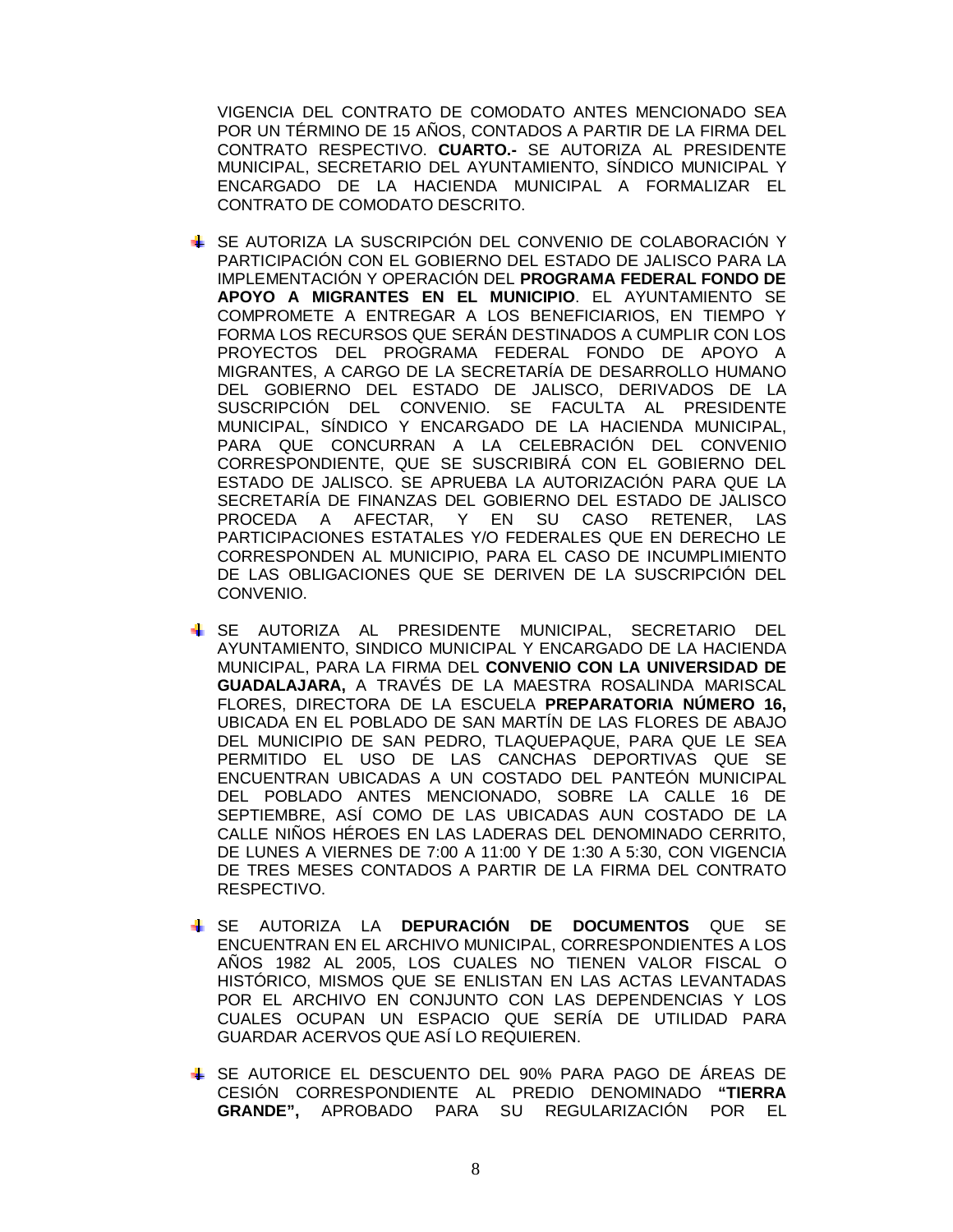VIGENCIA DEL CONTRATO DE COMODATO ANTES MENCIONADO SEA POR UN TÉRMINO DE 15 AÑOS, CONTADOS A PARTIR DE LA FIRMA DEL CONTRATO RESPECTIVO. **CUARTO.-** SE AUTORIZA AL PRESIDENTE MUNICIPAL, SECRETARIO DEL AYUNTAMIENTO, SÍNDICO MUNICIPAL Y ENCARGADO DE LA HACIENDA MUNICIPAL A FORMALIZAR EL CONTRATO DE COMODATO DESCRITO.

- SE AUTORIZA LA SUSCRIPCIÓN DEL CONVENIO DE COLABORACIÓN Y PARTICIPACIÓN CON EL GOBIERNO DEL ESTADO DE JALISCO PARA LA IMPLEMENTACIÓN Y OPERACIÓN DEL **PROGRAMA FEDERAL FONDO DE APOYO A MIGRANTES EN EL MUNICIPIO**. EL AYUNTAMIENTO SE COMPROMETE A ENTREGAR A LOS BENEFICIARIOS, EN TIEMPO Y FORMA LOS RECURSOS QUE SERÁN DESTINADOS A CUMPLIR CON LOS PROYECTOS DEL PROGRAMA FEDERAL FONDO DE APOYO A MIGRANTES, A CARGO DE LA SECRETARÍA DE DESARROLLO HUMANO DEL GOBIERNO DEL ESTADO DE JALISCO, DERIVADOS DE LA SUSCRIPCIÓN DEL CONVENIO. SE FACULTA AL PRESIDENTE MUNICIPAL, SÍNDICO Y ENCARGADO DE LA HACIENDA MUNICIPAL, PARA QUE CONCURRAN A LA CELEBRACIÓN DEL CONVENIO CORRESPONDIENTE, QUE SE SUSCRIBIRÁ CON EL GOBIERNO DEL ESTADO DE JALISCO. SE APRUEBA LA AUTORIZACIÓN PARA QUE LA SECRETARÍA DE FINANZAS DEL GOBIERNO DEL ESTADO DE JALISCO PROCEDA A AFECTAR, Y EN SU CASO RETENER, LAS PARTICIPACIONES ESTATALES Y/O FEDERALES QUE EN DERECHO LE CORRESPONDEN AL MUNICIPIO, PARA EL CASO DE INCUMPLIMIENTO DE LAS OBLIGACIONES QUE SE DERIVEN DE LA SUSCRIPCIÓN DEL CONVENIO.
- SE AUTORIZA AL PRESIDENTE MUNICIPAL, SECRETARIO DEL AYUNTAMIENTO, SINDICO MUNICIPAL Y ENCARGADO DE LA HACIENDA MUNICIPAL, PARA LA FIRMA DEL **CONVENIO CON LA UNIVERSIDAD DE GUADALAJARA,** A TRAVÉS DE LA MAESTRA ROSALINDA MARISCAL FLORES, DIRECTORA DE LA ESCUELA **PREPARATORIA NÚMERO 16,** UBICADA EN EL POBLADO DE SAN MARTÍN DE LAS FLORES DE ABAJO DEL MUNICIPIO DE SAN PEDRO, TLAQUEPAQUE, PARA QUE LE SEA PERMITIDO EL USO DE LAS CANCHAS DEPORTIVAS QUE SE ENCUENTRAN UBICADAS A UN COSTADO DEL PANTEÓN MUNICIPAL DEL POBLADO ANTES MENCIONADO, SOBRE LA CALLE 16 DE SEPTIEMBRE, ASÍ COMO DE LAS UBICADAS AUN COSTADO DE LA CALLE NIÑOS HÉROES EN LAS LADERAS DEL DENOMINADO CERRITO, DE LUNES A VIERNES DE 7:00 A 11:00 Y DE 1:30 A 5:30, CON VIGENCIA DE TRES MESES CONTADOS A PARTIR DE LA FIRMA DEL CONTRATO RESPECTIVO.
- SE AUTORIZA LA **DEPURACIÓN DE DOCUMENTOS** QUE SE ENCUENTRAN EN EL ARCHIVO MUNICIPAL, CORRESPONDIENTES A LOS AÑOS 1982 AL 2005, LOS CUALES NO TIENEN VALOR FISCAL O HISTÓRICO, MISMOS QUE SE ENLISTAN EN LAS ACTAS LEVANTADAS POR EL ARCHIVO EN CONJUNTO CON LAS DEPENDENCIAS Y LOS CUALES OCUPAN UN ESPACIO QUE SERÍA DE UTILIDAD PARA GUARDAR ACERVOS QUE ASÍ LO REQUIEREN.
- SE AUTORICE EL DESCUENTO DEL 90% PARA PAGO DE ÁREAS DE CESIÓN CORRESPONDIENTE AL PREDIO DENOMINADO **"TIERRA GRANDE",** APROBADO PARA SU REGULARIZACIÓN POR EL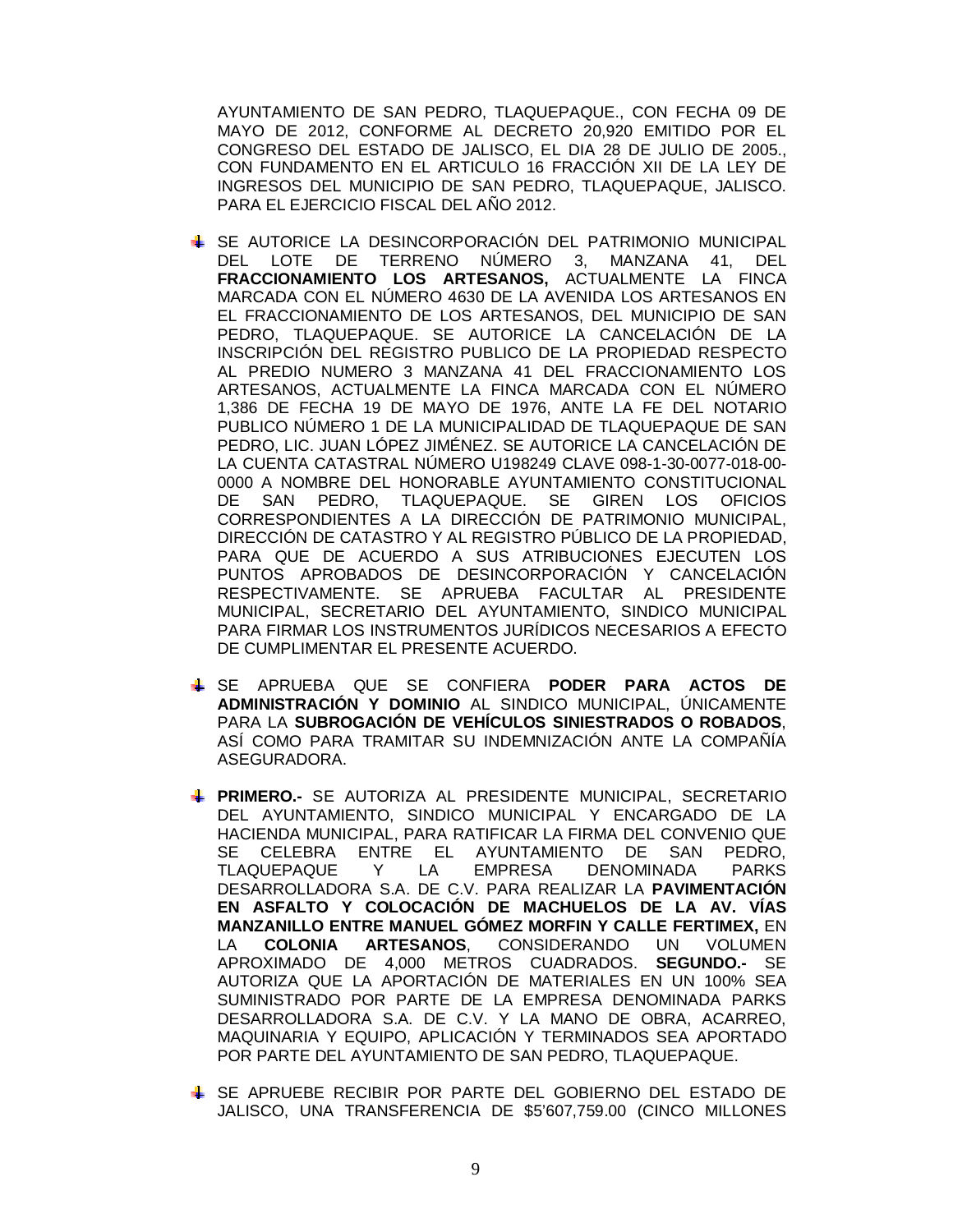AYUNTAMIENTO DE SAN PEDRO, TLAQUEPAQUE., CON FECHA 09 DE MAYO DE 2012, CONFORME AL DECRETO 20,920 EMITIDO POR EL CONGRESO DEL ESTADO DE JALISCO, EL DIA 28 DE JULIO DE 2005., CON FUNDAMENTO EN EL ARTICULO 16 FRACCIÓN XII DE LA LEY DE INGRESOS DEL MUNICIPIO DE SAN PEDRO, TLAQUEPAQUE, JALISCO. PARA EL EJERCICIO FISCAL DEL AÑO 2012.

- SE AUTORICE LA DESINCORPORACIÓN DEL PATRIMONIO MUNICIPAL DEL LOTE DE TERRENO NÚMERO 3, MANZANA 41, DEL **FRACCIONAMIENTO LOS ARTESANOS,** ACTUALMENTE LA FINCA MARCADA CON EL NÚMERO 4630 DE LA AVENIDA LOS ARTESANOS EN EL FRACCIONAMIENTO DE LOS ARTESANOS, DEL MUNICIPIO DE SAN PEDRO, TLAQUEPAQUE. SE AUTORICE LA CANCELACIÓN DE LA INSCRIPCIÓN DEL REGISTRO PUBLICO DE LA PROPIEDAD RESPECTO AL PREDIO NUMERO 3 MANZANA 41 DEL FRACCIONAMIENTO LOS ARTESANOS, ACTUALMENTE LA FINCA MARCADA CON EL NÚMERO 1,386 DE FECHA 19 DE MAYO DE 1976, ANTE LA FE DEL NOTARIO PUBLICO NÚMERO 1 DE LA MUNICIPALIDAD DE TLAQUEPAQUE DE SAN PEDRO, LIC. JUAN LÓPEZ JIMÉNEZ. SE AUTORICE LA CANCELACIÓN DE LA CUENTA CATASTRAL NÚMERO U198249 CLAVE 098-1-30-0077-018-00- 0000 A NOMBRE DEL HONORABLE AYUNTAMIENTO CONSTITUCIONAL DE SAN PEDRO, TLAQUEPAQUE. SE GIREN LOS OFICIOS CORRESPONDIENTES A LA DIRECCIÓN DE PATRIMONIO MUNICIPAL, DIRECCIÓN DE CATASTRO Y AL REGISTRO PÚBLICO DE LA PROPIEDAD, PARA QUE DE ACUERDO A SUS ATRIBUCIONES EJECUTEN LOS PUNTOS APROBADOS DE DESINCORPORACIÓN Y CANCELACIÓN RESPECTIVAMENTE. SE APRUEBA FACULTAR AL PRESIDENTE MUNICIPAL, SECRETARIO DEL AYUNTAMIENTO, SINDICO MUNICIPAL PARA FIRMAR LOS INSTRUMENTOS JURÍDICOS NECESARIOS A EFECTO DE CUMPLIMENTAR EL PRESENTE ACUERDO.
- SE APRUEBA QUE SE CONFIERA **PODER PARA ACTOS DE ADMINISTRACIÓN Y DOMINIO** AL SINDICO MUNICIPAL, ÚNICAMENTE PARA LA **SUBROGACIÓN DE VEHÍCULOS SINIESTRADOS O ROBADOS**, ASÍ COMO PARA TRAMITAR SU INDEMNIZACIÓN ANTE LA COMPAÑÍA ASEGURADORA.
- **PRIMERO.-** SE AUTORIZA AL PRESIDENTE MUNICIPAL, SECRETARIO DEL AYUNTAMIENTO, SINDICO MUNICIPAL Y ENCARGADO DE LA HACIENDA MUNICIPAL, PARA RATIFICAR LA FIRMA DEL CONVENIO QUE SE CELEBRA ENTRE EL AYUNTAMIENTO DE SAN PEDRO, TLAQUEPAQUE Y LA EMPRESA DENOMINADA PARKS DESARROLLADORA S.A. DE C.V. PARA REALIZAR LA **PAVIMENTACIÓN EN ASFALTO Y COLOCACIÓN DE MACHUELOS DE LA AV. VÍAS MANZANILLO ENTRE MANUEL GÓMEZ MORFIN Y CALLE FERTIMEX,** EN LA **COLONIA ARTESANOS**, CONSIDERANDO UN VOLUMEN APROXIMADO DE 4,000 METROS CUADRADOS. **SEGUNDO.-** SE AUTORIZA QUE LA APORTACIÓN DE MATERIALES EN UN 100% SEA SUMINISTRADO POR PARTE DE LA EMPRESA DENOMINADA PARKS DESARROLLADORA S.A. DE C.V. Y LA MANO DE OBRA, ACARREO, MAQUINARIA Y EQUIPO, APLICACIÓN Y TERMINADOS SEA APORTADO POR PARTE DEL AYUNTAMIENTO DE SAN PEDRO, TLAQUEPAQUE.
- SE APRUEBE RECIBIR POR PARTE DEL GOBIERNO DEL ESTADO DE JALISCO, UNA TRANSFERENCIA DE \$5'607,759.00 (CINCO MILLONES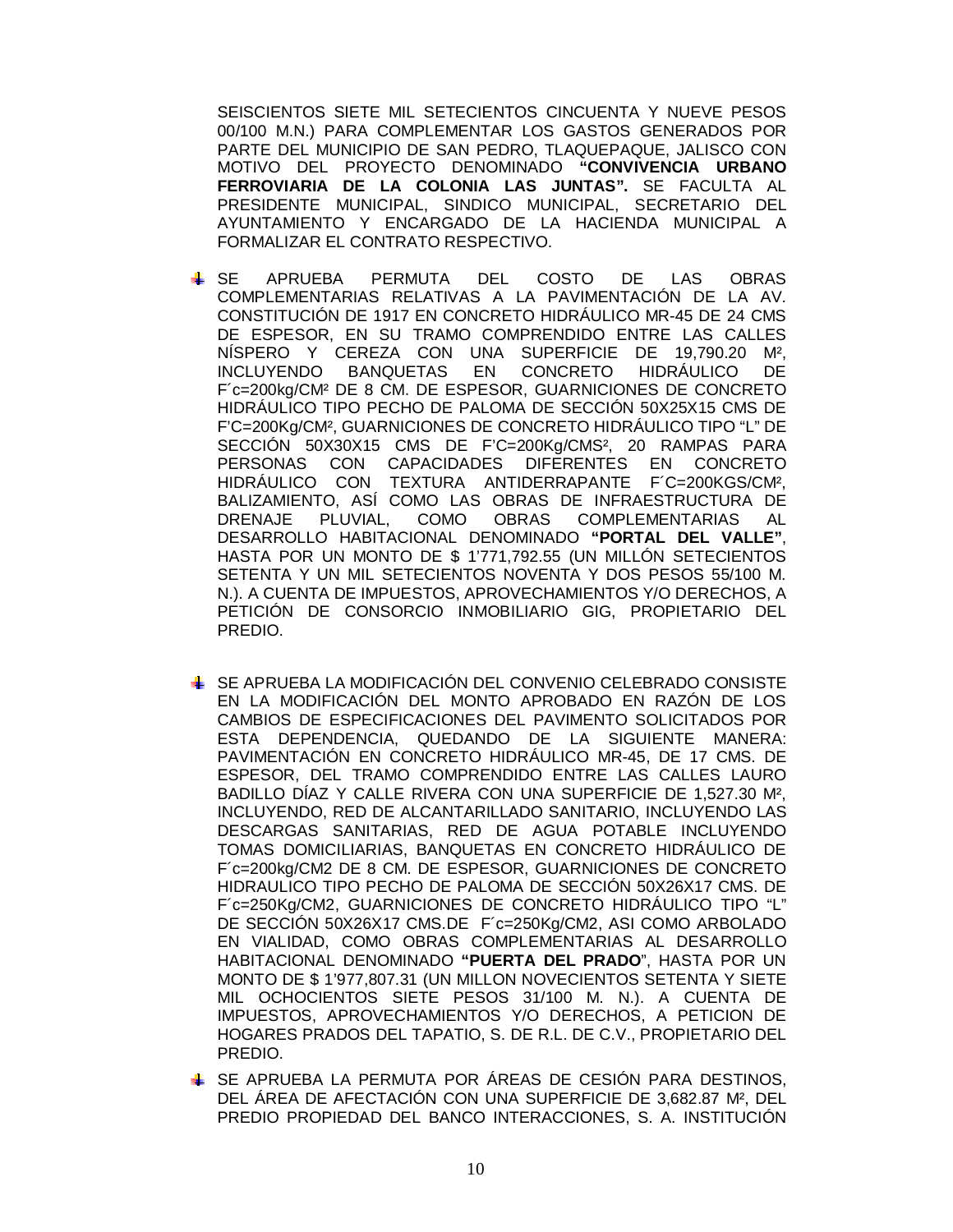SEISCIENTOS SIETE MIL SETECIENTOS CINCUENTA Y NUEVE PESOS 00/100 M.N.) PARA COMPLEMENTAR LOS GASTOS GENERADOS POR PARTE DEL MUNICIPIO DE SAN PEDRO, TLAQUEPAQUE, JALISCO CON MOTIVO DEL PROYECTO DENOMINADO **"CONVIVENCIA URBANO FERROVIARIA DE LA COLONIA LAS JUNTAS".** SE FACULTA AL PRESIDENTE MUNICIPAL, SINDICO MUNICIPAL, SECRETARIO DEL AYUNTAMIENTO Y ENCARGADO DE LA HACIENDA MUNICIPAL A FORMALIZAR EL CONTRATO RESPECTIVO.

- SE APRUEBA PERMUTA DEL COSTO DE LAS OBRAS COMPLEMENTARIAS RELATIVAS A LA PAVIMENTACIÓN DE LA AV. CONSTITUCIÓN DE 1917 EN CONCRETO HIDRÁULICO MR-45 DE 24 CMS DE ESPESOR, EN SU TRAMO COMPRENDIDO ENTRE LAS CALLES NÍSPERO Y CEREZA CON UNA SUPERFICIE DE 19,790.20 M², INCLUYENDO BANQUETAS EN CONCRETO HIDRÁULICO DE F´c=200kg/CM² DE 8 CM. DE ESPESOR, GUARNICIONES DE CONCRETO HIDRÁULICO TIPO PECHO DE PALOMA DE SECCIÓN 50X25X15 CMS DE F'C=200Kg/CM², GUARNICIONES DE CONCRETO HIDRÁULICO TIPO "L" DE SECCIÓN 50X30X15 CMS DE F'C=200Kg/CMS², 20 RAMPAS PARA PERSONAS CON CAPACIDADES DIFERENTES EN CONCRETO HIDRÁULICO CON TEXTURA ANTIDERRAPANTE F´C=200KGS/CM², BALIZAMIENTO, ASÍ COMO LAS OBRAS DE INFRAESTRUCTURA DE DRENAJE PLUVIAL, COMO OBRAS COMPLEMENTARIAS AL DESARROLLO HABITACIONAL DENOMINADO **"PORTAL DEL VALLE"**, HASTA POR UN MONTO DE \$ 1'771,792.55 (UN MILLÓN SETECIENTOS SETENTA Y UN MIL SETECIENTOS NOVENTA Y DOS PESOS 55/100 M. N.). A CUENTA DE IMPUESTOS, APROVECHAMIENTOS Y/O DERECHOS, A PETICIÓN DE CONSORCIO INMOBILIARIO GIG, PROPIETARIO DEL PREDIO.
- SE APRUEBA LA MODIFICACIÓN DEL CONVENIO CELEBRADO CONSISTE EN LA MODIFICACIÓN DEL MONTO APROBADO EN RAZÓN DE LOS CAMBIOS DE ESPECIFICACIONES DEL PAVIMENTO SOLICITADOS POR ESTA DEPENDENCIA, QUEDANDO DE LA SIGUIENTE MANERA: PAVIMENTACIÓN EN CONCRETO HIDRÁULICO MR-45, DE 17 CMS. DE ESPESOR, DEL TRAMO COMPRENDIDO ENTRE LAS CALLES LAURO BADILLO DÍAZ Y CALLE RIVERA CON UNA SUPERFICIE DE 1,527.30 M², INCLUYENDO, RED DE ALCANTARILLADO SANITARIO, INCLUYENDO LAS DESCARGAS SANITARIAS, RED DE AGUA POTABLE INCLUYENDO TOMAS DOMICILIARIAS, BANQUETAS EN CONCRETO HIDRÁULICO DE F´c=200kg/CM2 DE 8 CM. DE ESPESOR, GUARNICIONES DE CONCRETO HIDRAULICO TIPO PECHO DE PALOMA DE SECCIÓN 50X26X17 CMS. DE F´c=250Kg/CM2, GUARNICIONES DE CONCRETO HIDRÁULICO TIPO "L" DE SECCIÓN 50X26X17 CMS.DE F´c=250Kg/CM2, ASI COMO ARBOLADO EN VIALIDAD, COMO OBRAS COMPLEMENTARIAS AL DESARROLLO HABITACIONAL DENOMINADO **"PUERTA DEL PRADO**", HASTA POR UN MONTO DE \$ 1'977,807.31 (UN MILLON NOVECIENTOS SETENTA Y SIETE MIL OCHOCIENTOS SIETE PESOS 31/100 M. N.). A CUENTA DE IMPUESTOS, APROVECHAMIENTOS Y/O DERECHOS, A PETICION DE HOGARES PRADOS DEL TAPATIO, S. DE R.L. DE C.V., PROPIETARIO DEL PREDIO.
- SE APRUEBA LA PERMUTA POR ÁREAS DE CESIÓN PARA DESTINOS, DEL ÁREA DE AFECTACIÓN CON UNA SUPERFICIE DE 3,682.87 M², DEL PREDIO PROPIEDAD DEL BANCO INTERACCIONES, S. A. INSTITUCIÓN